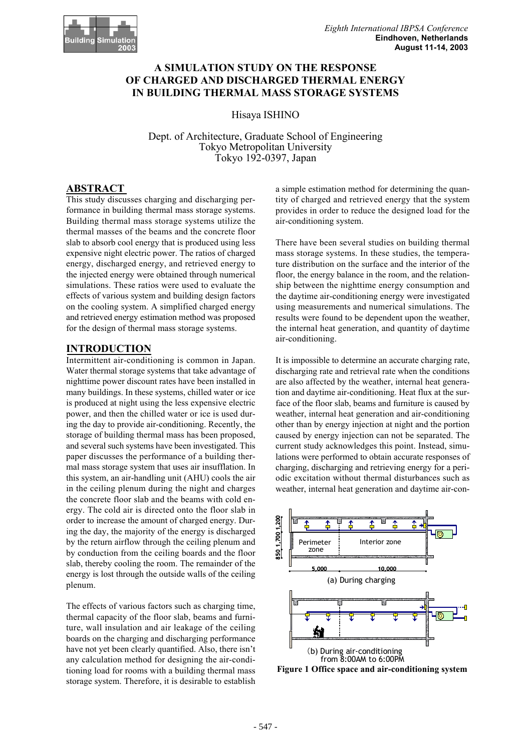

# **A SIMULATION STUDY ON THE RESPONSE OF CHARGED AND DISCHARGED THERMAL ENERGY IN BUILDING THERMAL MASS STORAGE SYSTEMS**

Hisaya ISHINO

Dept. of Architecture, Graduate School of Engineering Tokyo Metropolitan University Tokyo 192-0397, Japan

# **ABSTRACT**

This study discusses charging and discharging performance in building thermal mass storage systems. Building thermal mass storage systems utilize the thermal masses of the beams and the concrete floor slab to absorb cool energy that is produced using less expensive night electric power. The ratios of charged energy, discharged energy, and retrieved energy to the injected energy were obtained through numerical simulations. These ratios were used to evaluate the effects of various system and building design factors on the cooling system. A simplified charged energy and retrieved energy estimation method was proposed for the design of thermal mass storage systems.

## **INTRODUCTION**

Intermittent air-conditioning is common in Japan. Water thermal storage systems that take advantage of nighttime power discount rates have been installed in many buildings. In these systems, chilled water or ice is produced at night using the less expensive electric power, and then the chilled water or ice is used during the day to provide air-conditioning. Recently, the storage of building thermal mass has been proposed, and several such systems have been investigated. This paper discusses the performance of a building thermal mass storage system that uses air insufflation. In this system, an air-handling unit (AHU) cools the air in the ceiling plenum during the night and charges the concrete floor slab and the beams with cold energy. The cold air is directed onto the floor slab in order to increase the amount of charged energy. During the day, the majority of the energy is discharged by the return airflow through the ceiling plenum and by conduction from the ceiling boards and the floor slab, thereby cooling the room. The remainder of the energy is lost through the outside walls of the ceiling plenum.

The effects of various factors such as charging time, thermal capacity of the floor slab, beams and furniture, wall insulation and air leakage of the ceiling boards on the charging and discharging performance have not yet been clearly quantified. Also, there isn't any calculation method for designing the air-conditioning load for rooms with a building thermal mass storage system. Therefore, it is desirable to establish a simple estimation method for determining the quantity of charged and retrieved energy that the system provides in order to reduce the designed load for the air-conditioning system.

There have been several studies on building thermal mass storage systems. In these studies, the temperature distribution on the surface and the interior of the floor, the energy balance in the room, and the relationship between the nighttime energy consumption and the daytime air-conditioning energy were investigated using measurements and numerical simulations. The results were found to be dependent upon the weather, the internal heat generation, and quantity of daytime air-conditioning.

It is impossible to determine an accurate charging rate, discharging rate and retrieval rate when the conditions are also affected by the weather, internal heat generation and daytime air-conditioning. Heat flux at the surface of the floor slab, beams and furniture is caused by weather, internal heat generation and air-conditioning other than by energy injection at night and the portion caused by energy injection can not be separated. The current study acknowledges this point. Instead, simulations were performed to obtain accurate responses of charging, discharging and retrieving energy for a periodic excitation without thermal disturbances such as weather, internal heat generation and daytime air-con-



**Figure 1 Office space and air-conditioning system**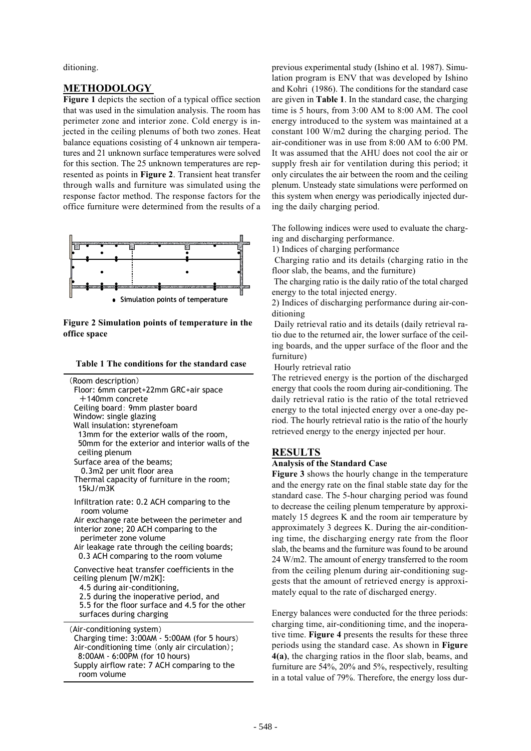ditioning.

# **METHODOLOGY**

**Figure 1** depicts the section of a typical office section that was used in the simulation analysis. The room has perimeter zone and interior zone. Cold energy is injected in the ceiling plenums of both two zones. Heat balance equations cosisting of 4 unknown air temperatures and 21 unknown surface temperatures were solved for this section. The 25 unknown temperatures are represented as points in **Figure 2**. Transient heat transfer through walls and furniture was simulated using the response factor method. The response factors for the office furniture were determined from the results of a



**Figure 2 Simulation points of temperature in the office space**

| Table 1 The conditions for the standard case |
|----------------------------------------------|
|----------------------------------------------|

| (Room description)<br>ceiling plenum<br>15kJ/m3K | +140mm concrete<br>Ceiling board: 9mm plaster board<br>Window: single glazing<br>Wall insulation: styrenefoam<br>Surface area of the beams;<br>0.3m2 per unit floor area | Floor: 6mm carpet+22mm GRC+air space<br>13mm for the exterior walls of the room,<br>50mm for the exterior and interior walls of the<br>Thermal capacity of furniture in the room;                                            |  |
|--------------------------------------------------|--------------------------------------------------------------------------------------------------------------------------------------------------------------------------|------------------------------------------------------------------------------------------------------------------------------------------------------------------------------------------------------------------------------|--|
| room volume                                      | perimeter zone volume                                                                                                                                                    | Infiltration rate: 0.2 ACH comparing to the<br>Air exchange rate between the perimeter and<br>interior zone; 20 ACH comparing to the<br>Air leakage rate through the ceiling boards;<br>0.3 ACH comparing to the room volume |  |
|                                                  | ceiling plenum [W/m2K]:<br>4.5 during air-conditioning,<br>surfaces during charging                                                                                      | Convective heat transfer coefficients in the<br>2.5 during the inoperative period, and<br>5.5 for the floor surface and 4.5 for the other                                                                                    |  |
|                                                  | (Air-conditioning system)<br>8:00AM - 6:00PM (for 10 hours)                                                                                                              | Charging time: 3:00AM - 5:00AM (for 5 hours)<br>Air-conditioning time (only air circulation);<br>Supply airflow rate: 7 ACH comparing to the                                                                                 |  |

room volume

previous experimental study (Ishino et al. 1987). Simulation program is ENV that was developed by Ishino and Kohri (1986). The conditions for the standard case are given in **Table 1**. In the standard case, the charging time is 5 hours, from 3:00 AM to 8:00 AM. The cool energy introduced to the system was maintained at a constant 100 W/m2 during the charging period. The air-conditioner was in use from 8:00 AM to 6:00 PM. It was assumed that the AHU does not cool the air or supply fresh air for ventilation during this period; it only circulates the air between the room and the ceiling plenum. Unsteady state simulations were performed on this system when energy was periodically injected during the daily charging period.

The following indices were used to evaluate the charging and discharging performance.

1) Indices of charging performance

 Charging ratio and its details (charging ratio in the floor slab, the beams, and the furniture)

 The charging ratio is the daily ratio of the total charged energy to the total injected energy.

2) Indices of discharging performance during air-conditioning

 Daily retrieval ratio and its details (daily retrieval ratio due to the returned air, the lower surface of the ceiling boards, and the upper surface of the floor and the furniture)

Hourly retrieval ratio

The retrieved energy is the portion of the discharged energy that cools the room during air-conditioning. The daily retrieval ratio is the ratio of the total retrieved energy to the total injected energy over a one-day period. The hourly retrieval ratio is the ratio of the hourly retrieved energy to the energy injected per hour.

## **RESULTS**

#### **Analysis of the Standard Case**

**Figure 3** shows the hourly change in the temperature and the energy rate on the final stable state day for the standard case. The 5-hour charging period was found to decrease the ceiling plenum temperature by approximately 15 degrees K and the room air temperature by approximately 3 degrees K. During the air-conditioning time, the discharging energy rate from the floor slab, the beams and the furniture was found to be around 24 W/m2. The amount of energy transferred to the room from the ceiling plenum during air-conditioning suggests that the amount of retrieved energy is approximately equal to the rate of discharged energy.

Energy balances were conducted for the three periods: charging time, air-conditioning time, and the inoperative time. **Figure 4** presents the results for these three periods using the standard case. As shown in **Figure 4(a)**, the charging ratios in the floor slab, beams, and furniture are 54%, 20% and 5%, respectively, resulting in a total value of 79%. Therefore, the energy loss dur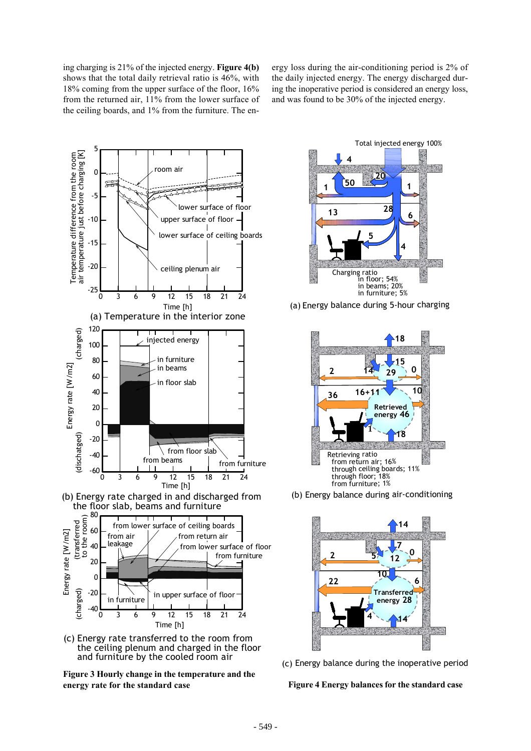ing charging is 21% of the injected energy. **Figure 4(b)** shows that the total daily retrieval ratio is 46%, with 18% coming from the upper surface of the floor, 16% from the returned air, 11% from the lower surface of the ceiling boards, and 1% from the furniture. The en-

ergy loss during the air-conditioning period is 2% of the daily injected energy. The energy discharged during the inoperative period is considered an energy loss, and was found to be 30% of the injected energy.



(c) Energy rate transferred to the room from the ceiling plenum and charged in the floor





(a) Energy balance during 5-hour charging



(b) Energy balance during air-conditioning



(c) Energy balance during the inoperative period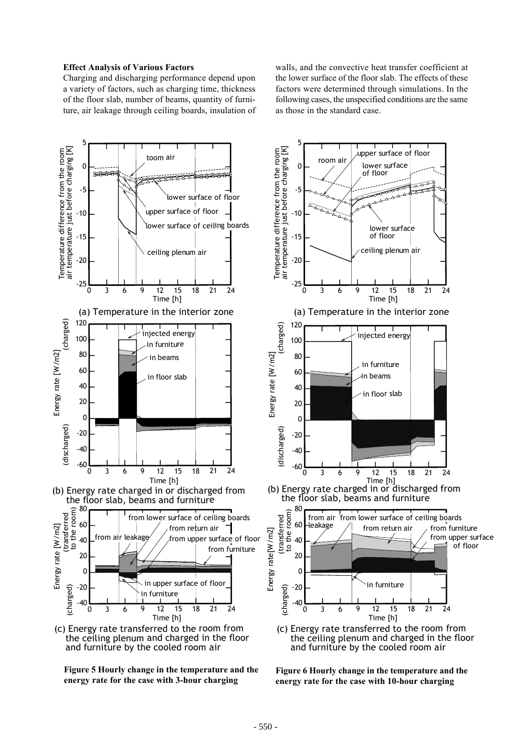#### **Effect Analysis of Various Factors**

Charging and discharging performance depend upon a variety of factors, such as charging time, thickness of the floor slab, number of beams, quantity of furniture, air leakage through ceiling boards, insulation of walls, and the convective heat transfer coefficient at the lower surface of the floor slab. The effects of these factors were determined through simulations. In the following cases, the unspecified conditions are the same as those in the standard case.

upper surface of floor

5







(c) Energy rate transferred to the room from the ceiling plenum and charged in the floor

**Figure 6 Hourly change in the temperature and the energy rate for the case with 10-hour charging**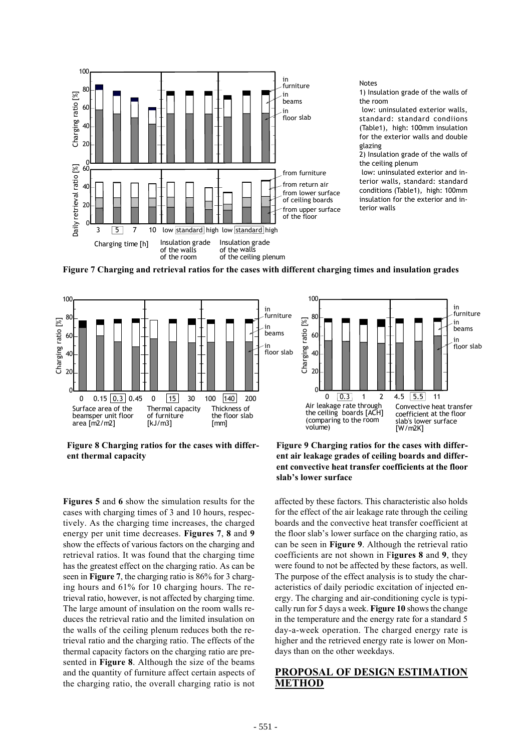

**Figure 7 Charging and retrieval ratios for the cases with different charging times and insulation grades**



**Figure 8 Charging ratios for the cases with different thermal capacity**

**Figure 9 Charging ratios for the cases with different air leakage grades of ceiling boards and different convective heat transfer coefficients at the floor slab's lower surface**

**Figures 5** and **6** show the simulation results for the cases with charging times of 3 and 10 hours, respectively. As the charging time increases, the charged energy per unit time decreases. **Figures 7**, **8** and **9** show the effects of various factors on the charging and retrieval ratios. It was found that the charging time has the greatest effect on the charging ratio. As can be seen in **Figure 7**, the charging ratio is 86% for 3 charging hours and 61% for 10 charging hours. The retrieval ratio, however, is not affected by charging time. The large amount of insulation on the room walls reduces the retrieval ratio and the limited insulation on the walls of the ceiling plenum reduces both the retrieval ratio and the charging ratio. The effects of the thermal capacity factors on the charging ratio are presented in **Figure 8**. Although the size of the beams and the quantity of furniture affect certain aspects of the charging ratio, the overall charging ratio is not

affected by these factors. This characteristic also holds for the effect of the air leakage rate through the ceiling boards and the convective heat transfer coefficient at the floor slab's lower surface on the charging ratio, as can be seen in **Figure 9**. Although the retrieval ratio coefficients are not shown in F**igures 8** and **9**, they were found to not be affected by these factors, as well. The purpose of the effect analysis is to study the characteristics of daily periodic excitation of injected energy. The charging and air-conditioning cycle is typically run for 5 days a week. **Figure 10** shows the change in the temperature and the energy rate for a standard 5 day-a-week operation. The charged energy rate is higher and the retrieved energy rate is lower on Mondays than on the other weekdays.

# **PROPOSAL OF DESIGN ESTIMATION METHOD**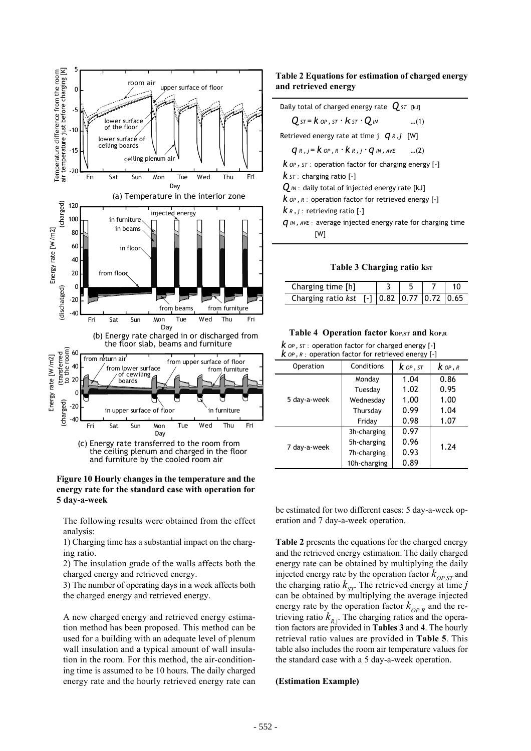

 the ceiling plenum and charged in the floor and furniture by the cooled room air

### **Figure 10 Hourly changes in the temperature and the energy rate for the standard case with operation for 5 day-a-week**

The following results were obtained from the effect analysis:

1) Charging time has a substantial impact on the charging ratio.

2) The insulation grade of the walls affects both the charged energy and retrieved energy.

3) The number of operating days in a week affects both the charged energy and retrieved energy.

A new charged energy and retrieved energy estimation method has been proposed. This method can be used for a building with an adequate level of plenum wall insulation and a typical amount of wall insulation in the room. For this method, the air-conditioning time is assumed to be 10 hours. The daily charged energy rate and the hourly retrieved energy rate can

## **Table 2 Equations for estimation of charged energy and retrieved energy**

| Daily total of charged energy rate $Q_{ST}$ [kJ]        |     |  |  |  |  |  |  |
|---------------------------------------------------------|-----|--|--|--|--|--|--|
| $Q$ st = $k$ op , st $\cdot$ $k$ st $\cdot$ $Q$ in      | (1) |  |  |  |  |  |  |
| Retrieved energy rate at time $j \, q \, r \, j \, W$   |     |  |  |  |  |  |  |
| $q_{R,j} = k_{OP,R} \cdot k_{R,j} \cdot q_{IN,AVE}$ (2) |     |  |  |  |  |  |  |
| $k$ op , st : operation factor for charging energy [-]  |     |  |  |  |  |  |  |
| $k$ s $\tau$ : charging ratio [-]                       |     |  |  |  |  |  |  |
| $\bm{Q}$ IN : daily total of injected energy rate [kJ]  |     |  |  |  |  |  |  |
| $k$ op, $R$ : operation factor for retrieved energy [-] |     |  |  |  |  |  |  |
| $k_{R,j}$ : retrieving ratio [-]                        |     |  |  |  |  |  |  |

*q IN , AVE* : average injected energy rate for charging time [W]

**Table 3 Charging ratio kst** 

| Charging time [h]                                                    |  |  |  |
|----------------------------------------------------------------------|--|--|--|
| Charging ratio kst [-] $\vert 0.82 \vert 0.77 \vert 0.72 \vert 0.65$ |  |  |  |

#### Table 4 Operation factor kop, st and kop, R

*k OP , ST* : operation factor for charged energy [-] *k OP , <sup>R</sup>* : operation factor for retrieved energy [-]

| Operation    | Conditions   | $k$ op , st | $k$ op , $R$ |  |
|--------------|--------------|-------------|--------------|--|
|              | Monday       | 1.04        | 0.86         |  |
|              | Tuesday      | 1.02        | 0.95         |  |
| 5 day-a-week | Wednesday    | 1.00        | 1.00         |  |
|              | Thursday     | 0.99        | 1.04         |  |
|              | Friday       | 0.98        | 1.07         |  |
|              | 3h-charging  | 0.97        |              |  |
| 7 day-a-week | 5h-charging  | 0.96        | 1.24         |  |
|              | 7h-charging  | 0.93        |              |  |
|              | 10h-charging | 0.89        |              |  |

be estimated for two different cases: 5 day-a-week operation and 7 day-a-week operation.

**Table 2** presents the equations for the charged energy and the retrieved energy estimation. The daily charged energy rate can be obtained by multiplying the daily injected energy rate by the operation factor  $k_{OP,ST}$  and the charging ratio  $k_{ST}$ . The retrieved energy at time *j* can be obtained by multiplying the average injected energy rate by the operation factor  $k_{OPR}$  and the retrieving ratio  $k_{R,i}$ . The charging ratios and the operation factors are provided in **Tables 3** and **4**. The hourly retrieval ratio values are provided in **Table 5**. This table also includes the room air temperature values for the standard case with a 5 day-a-week operation.

## **(Estimation Example)**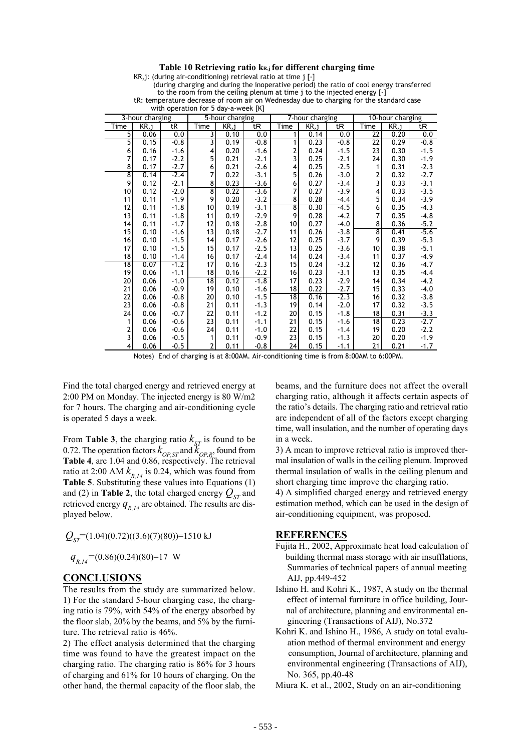#### **Table 10 Retrieving ratio kR,j for different charging time**

KR,j: (during air-conditioning) retrieval ratio at time j [-]

 (during charging and during the inoperative period) the ratio of cool energy transferred to the room from the ceiling plenum at time j to the injected energy  $[\cdot]$ 

tR: temperature decrease of room air on Wednesday due to charging for the standard case

|                         | 3-hour charging<br>5-hour charging |        | 7-hour charging    |       |        | 10-hour charging |      |        |                           |      |        |
|-------------------------|------------------------------------|--------|--------------------|-------|--------|------------------|------|--------|---------------------------|------|--------|
| Time                    | KR, j                              | tR     | Time               | KR, j | tR     | Time             | KR,i | tR     | Time                      | KR,i | tR     |
| $rac{5}{5}$             | 0.06                               | 0.0    | 3                  | 0.10  | 0.0    | 1                | 0.14 | 0.0    | $\overline{22}$           | 0.20 | 0.0    |
|                         | 0.15                               | $-0.8$ | 3                  | 0.19  | $-0.8$ | 1                | 0.23 | $-0.8$ | 22                        | 0.29 | $-0.8$ |
| 6                       | 0.16                               | $-1.6$ | $\overline{4}$     | 0.20  | $-1.6$ | 2                | 0.24 | $-1.5$ | 23                        | 0.30 | $-1.5$ |
| 7                       | 0.17                               | $-2.2$ | 5                  | 0.21  | $-2.1$ | 3                | 0.25 | $-2.1$ | 24                        | 0.30 | $-1.9$ |
| 8                       | 0.17                               | $-2.7$ | 6                  | 0.21  | $-2.6$ | 4                | 0.25 | $-2.5$ | 1                         | 0.31 | $-2.3$ |
| $\overline{\mathbf{8}}$ | 0.14                               | $-2.4$ | 7                  | 0.22  | $-3.1$ | 5                | 0.26 | $-3.0$ | $\overline{c}$            | 0.32 | $-2.7$ |
| 9                       | 0.12                               | $-2.1$ | 8                  | 0.23  | $-3.6$ | 6                | 0.27 | $-3.4$ | 3                         | 0.33 | $-3.1$ |
| 10                      | 0.12                               | $-2.0$ | $\overline{\bf 8}$ | 0.22  | $-3.6$ | 7                | 0.27 | $-3.9$ | 4                         | 0.33 | $-3.5$ |
| 11                      | 0.11                               | $-1.9$ | 9                  | 0.20  | $-3.2$ | 8                | 0.28 | $-4.4$ | 5                         | 0.34 | $-3.9$ |
| 12                      | 0.11                               | $-1.8$ | 10                 | 0.19  | $-3.1$ | 8                | 0.30 | $-4.5$ | 6                         | 0.35 | $-4.3$ |
| 13                      | 0.11                               | $-1.8$ | 11                 | 0.19  | $-2.9$ | 9                | 0.28 | $-4.2$ | 7                         | 0.35 | $-4.8$ |
| 14                      | 0.11                               | $-1.7$ | 12                 | 0.18  | $-2.8$ | 10               | 0.27 | $-4.0$ | 8                         | 0.36 | $-5.2$ |
| 15                      | 0.10                               | $-1.6$ | 13                 | 0.18  | $-2.7$ | 11               | 0.26 | $-3.8$ | $\overline{\overline{8}}$ | 0.41 | $-5.6$ |
| 16                      | 0.10                               | $-1.5$ | 14                 | 0.17  | $-2.6$ | 12               | 0.25 | $-3.7$ | 9                         | 0.39 | $-5.3$ |
| 17                      | 0.10                               | $-1.5$ | 15                 | 0.17  | $-2.5$ | 13               | 0.25 | $-3.6$ | 10                        | 0.38 | $-5.1$ |
| $18\,$                  | 0.10                               | $-1.4$ | 16                 | 0.17  | $-2.4$ | 14               | 0.24 | $-3.4$ | 11                        | 0.37 | $-4.9$ |
| 18                      | 0.07                               | $-1.2$ | 17                 | 0.16  | $-2.3$ | 15               | 0.24 | $-3.2$ | 12                        | 0.36 | $-4.7$ |
| 19                      | 0.06                               | $-1.1$ | 18                 | 0.16  | $-2.2$ | 16               | 0.23 | $-3.1$ | 13                        | 0.35 | $-4.4$ |
| 20                      | 0.06                               | $-1.0$ | 18                 | 0.12  | $-1.8$ | 17               | 0.23 | $-2.9$ | 14                        | 0.34 | $-4.2$ |
| 21                      | 0.06                               | $-0.9$ | 19                 | 0.10  | $-1.6$ | 18               | 0.22 | $-2.7$ | 15                        | 0.33 | $-4.0$ |
| 22                      | 0.06                               | $-0.8$ | 20                 | 0.10  | $-1.5$ | 18               | 0.16 | $-2.3$ | 16                        | 0.32 | $-3.8$ |
| 23                      | 0.06                               | $-0.8$ | 21                 | 0.11  | $-1.3$ | 19               | 0.14 | $-2.0$ | 17                        | 0.32 | $-3.5$ |
| 24                      | 0.06                               | $-0.7$ | 22                 | 0.11  | $-1.2$ | 20               | 0.15 | $-1.8$ | 18                        | 0.31 | $-3.3$ |
| 1                       | 0.06                               | $-0.6$ | 23                 | 0.11  | $-1.1$ | 21               | 0.15 | $-1.6$ | 18                        | 0.23 | $-2.7$ |
| $\frac{2}{3}$           | 0.06                               | $-0.6$ | 24                 | 0.11  | $-1.0$ | 22               | 0.15 | $-1.4$ | 19                        | 0.20 | $-2.2$ |
|                         | 0.06                               | $-0.5$ | 1                  | 0.11  | $-0.9$ | 23               | 0.15 | $-1.3$ | 20                        | 0.20 | $-1.9$ |

with operation for 5 day-a-week [K]

 $0.06$   $0.5$  2 0.11  $-0.8$  24 0.15  $-1.1$  21 0.21 -1.7

Notes) End of charging is at 8:00AM. Air-conditioning time is from 8:00AM to 6:00PM.

Find the total charged energy and retrieved energy at 2:00 PM on Monday. The injected energy is 80 W/m2 for 7 hours. The charging and air-conditioning cycle is operated 5 days a week.

From **Table 3**, the charging ratio  $k_{ST}$  is found to be 0.72. The operation factors  $k_{OP,ST}$  and  $k_{OP,R}$ , found from Table 4, are 1.04 and 0.86, respectively. The retrieval ratio at 2:00 AM  $k_{R_14}$  is 0.24, which was found from **Table 5**. Substituting these values into Equations (1) and (2) in **Table 2**, the total charged energy  $Q_{ST}$  and retrieved energy  $q_{R_1/4}$  are obtained. The results are displayed below.

$$
Q_{ST} = (1.04)(0.72)((3.6)(7)(80)) = 1510 \text{ kJ}
$$

 $q_{R14}$ =(0.86)(0.24)(80)=17 W

## **CONCLUSIONS**

The results from the study are summarized below. 1) For the standard 5-hour charging case, the charging ratio is 79%, with 54% of the energy absorbed by the floor slab, 20% by the beams, and 5% by the furniture. The retrieval ratio is 46%.

2) The effect analysis determined that the charging time was found to have the greatest impact on the charging ratio. The charging ratio is 86% for 3 hours of charging and 61% for 10 hours of charging. On the other hand, the thermal capacity of the floor slab, the beams, and the furniture does not affect the overall charging ratio, although it affects certain aspects of the ratio's details. The charging ratio and retrieval ratio are independent of all of the factors except charging time, wall insulation, and the number of operating days in a week.

3) A mean to improve retrieval ratio is improved thermal insulation of walls in the ceiling plenum. Improved thermal insulation of walls in the ceiling plenum and short charging time improve the charging ratio.

4) A simplified charged energy and retrieved energy estimation method, which can be used in the design of air-conditioning equipment, was proposed.

## **REFERENCES**

- Fujita H., 2002, Approximate heat load calculation of building thermal mass storage with air insufflations, Summaries of technical papers of annual meeting AIJ, pp.449-452
- Ishino H. and Kohri K., 1987, A study on the thermal effect of internal furniture in office building, Jour nal of architecture, planning and environmental en gineering (Transactions of AIJ), No.372
- Kohri K. and Ishino H., 1986, A study on total evalu ation method of thermal environment and energy consumption, Journal of architecture, planning and environmental engineering (Transactions of AIJ), No. 365, pp.40-48

Miura K. et al., 2002, Study on an air-conditioning